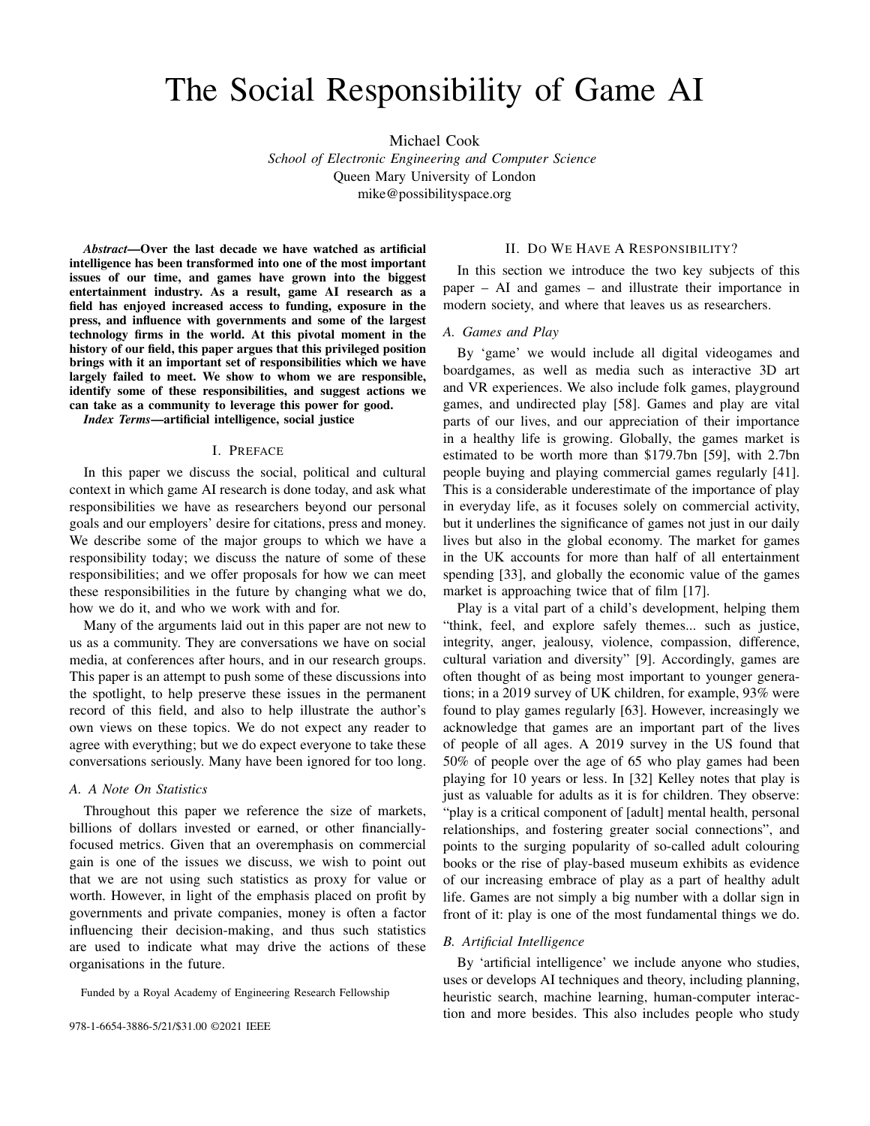# The Social Responsibility of Game AI

Michael Cook

*School of Electronic Engineering and Computer Science* Queen Mary University of London mike@possibilityspace.org

*Abstract*—Over the last decade we have watched as artificial intelligence has been transformed into one of the most important issues of our time, and games have grown into the biggest entertainment industry. As a result, game AI research as a field has enjoyed increased access to funding, exposure in the press, and influence with governments and some of the largest technology firms in the world. At this pivotal moment in the history of our field, this paper argues that this privileged position brings with it an important set of responsibilities which we have largely failed to meet. We show to whom we are responsible, identify some of these responsibilities, and suggest actions we can take as a community to leverage this power for good.

*Index Terms*—artificial intelligence, social justice

### I. PREFACE

In this paper we discuss the social, political and cultural context in which game AI research is done today, and ask what responsibilities we have as researchers beyond our personal goals and our employers' desire for citations, press and money. We describe some of the major groups to which we have a responsibility today; we discuss the nature of some of these responsibilities; and we offer proposals for how we can meet these responsibilities in the future by changing what we do, how we do it, and who we work with and for.

Many of the arguments laid out in this paper are not new to us as a community. They are conversations we have on social media, at conferences after hours, and in our research groups. This paper is an attempt to push some of these discussions into the spotlight, to help preserve these issues in the permanent record of this field, and also to help illustrate the author's own views on these topics. We do not expect any reader to agree with everything; but we do expect everyone to take these conversations seriously. Many have been ignored for too long.

## *A. A Note On Statistics*

Throughout this paper we reference the size of markets, billions of dollars invested or earned, or other financiallyfocused metrics. Given that an overemphasis on commercial gain is one of the issues we discuss, we wish to point out that we are not using such statistics as proxy for value or worth. However, in light of the emphasis placed on profit by governments and private companies, money is often a factor influencing their decision-making, and thus such statistics are used to indicate what may drive the actions of these organisations in the future.

Funded by a Royal Academy of Engineering Research Fellowship

#### II. DO WE HAVE A RESPONSIBILITY?

In this section we introduce the two key subjects of this paper – AI and games – and illustrate their importance in modern society, and where that leaves us as researchers.

#### *A. Games and Play*

By 'game' we would include all digital videogames and boardgames, as well as media such as interactive 3D art and VR experiences. We also include folk games, playground games, and undirected play [58]. Games and play are vital parts of our lives, and our appreciation of their importance in a healthy life is growing. Globally, the games market is estimated to be worth more than \$179.7bn [59], with 2.7bn people buying and playing commercial games regularly [41]. This is a considerable underestimate of the importance of play in everyday life, as it focuses solely on commercial activity, but it underlines the significance of games not just in our daily lives but also in the global economy. The market for games in the UK accounts for more than half of all entertainment spending [33], and globally the economic value of the games market is approaching twice that of film [17].

Play is a vital part of a child's development, helping them "think, feel, and explore safely themes... such as justice, integrity, anger, jealousy, violence, compassion, difference, cultural variation and diversity" [9]. Accordingly, games are often thought of as being most important to younger generations; in a 2019 survey of UK children, for example, 93% were found to play games regularly [63]. However, increasingly we acknowledge that games are an important part of the lives of people of all ages. A 2019 survey in the US found that 50% of people over the age of 65 who play games had been playing for 10 years or less. In [32] Kelley notes that play is just as valuable for adults as it is for children. They observe: "play is a critical component of [adult] mental health, personal relationships, and fostering greater social connections", and points to the surging popularity of so-called adult colouring books or the rise of play-based museum exhibits as evidence of our increasing embrace of play as a part of healthy adult life. Games are not simply a big number with a dollar sign in front of it: play is one of the most fundamental things we do.

#### *B. Artificial Intelligence*

By 'artificial intelligence' we include anyone who studies, uses or develops AI techniques and theory, including planning, heuristic search, machine learning, human-computer interaction and more besides. This also includes people who study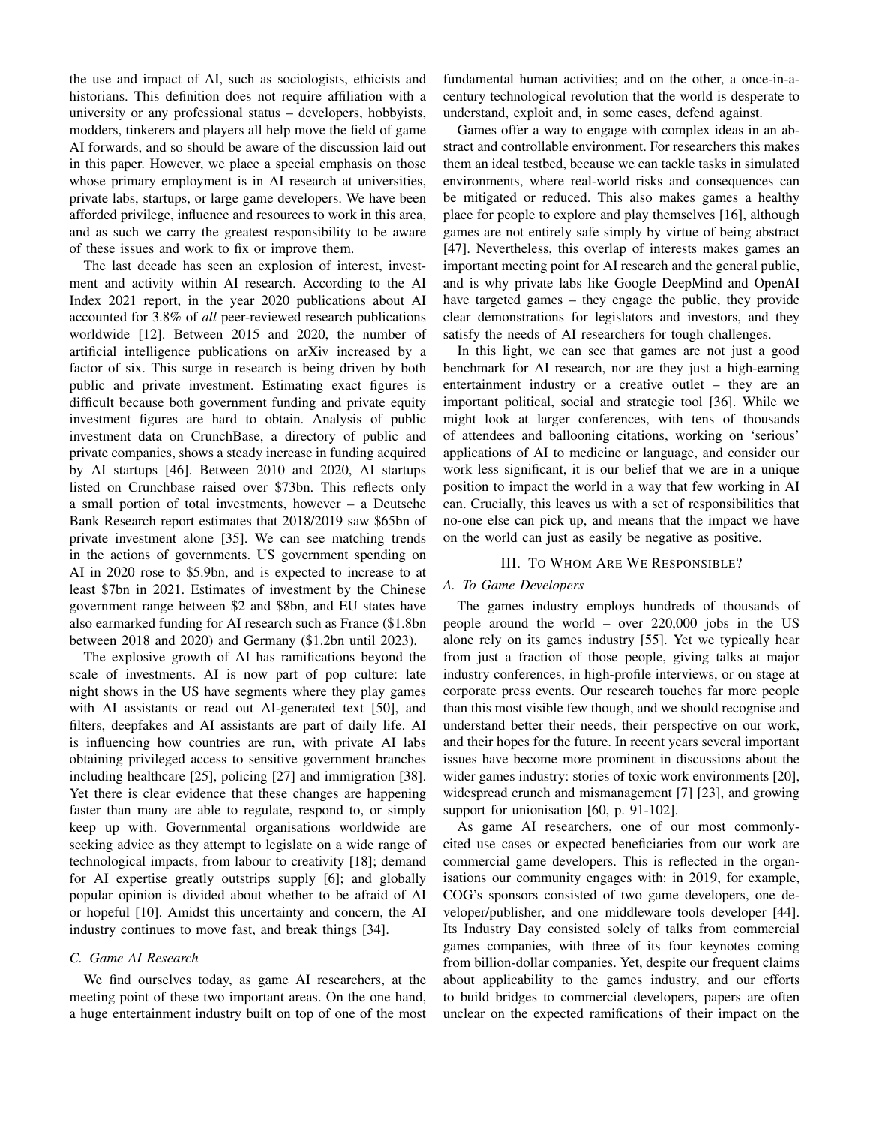the use and impact of AI, such as sociologists, ethicists and historians. This definition does not require affiliation with a university or any professional status – developers, hobbyists, modders, tinkerers and players all help move the field of game AI forwards, and so should be aware of the discussion laid out in this paper. However, we place a special emphasis on those whose primary employment is in AI research at universities, private labs, startups, or large game developers. We have been afforded privilege, influence and resources to work in this area, and as such we carry the greatest responsibility to be aware of these issues and work to fix or improve them.

The last decade has seen an explosion of interest, investment and activity within AI research. According to the AI Index 2021 report, in the year 2020 publications about AI accounted for 3.8% of *all* peer-reviewed research publications worldwide [12]. Between 2015 and 2020, the number of artificial intelligence publications on arXiv increased by a factor of six. This surge in research is being driven by both public and private investment. Estimating exact figures is difficult because both government funding and private equity investment figures are hard to obtain. Analysis of public investment data on CrunchBase, a directory of public and private companies, shows a steady increase in funding acquired by AI startups [46]. Between 2010 and 2020, AI startups listed on Crunchbase raised over \$73bn. This reflects only a small portion of total investments, however – a Deutsche Bank Research report estimates that 2018/2019 saw \$65bn of private investment alone [35]. We can see matching trends in the actions of governments. US government spending on AI in 2020 rose to \$5.9bn, and is expected to increase to at least \$7bn in 2021. Estimates of investment by the Chinese government range between \$2 and \$8bn, and EU states have also earmarked funding for AI research such as France (\$1.8bn between 2018 and 2020) and Germany (\$1.2bn until 2023).

The explosive growth of AI has ramifications beyond the scale of investments. AI is now part of pop culture: late night shows in the US have segments where they play games with AI assistants or read out AI-generated text [50], and filters, deepfakes and AI assistants are part of daily life. AI is influencing how countries are run, with private AI labs obtaining privileged access to sensitive government branches including healthcare [25], policing [27] and immigration [38]. Yet there is clear evidence that these changes are happening faster than many are able to regulate, respond to, or simply keep up with. Governmental organisations worldwide are seeking advice as they attempt to legislate on a wide range of technological impacts, from labour to creativity [18]; demand for AI expertise greatly outstrips supply [6]; and globally popular opinion is divided about whether to be afraid of AI or hopeful [10]. Amidst this uncertainty and concern, the AI industry continues to move fast, and break things [34].

# *C. Game AI Research*

We find ourselves today, as game AI researchers, at the meeting point of these two important areas. On the one hand, a huge entertainment industry built on top of one of the most fundamental human activities; and on the other, a once-in-acentury technological revolution that the world is desperate to understand, exploit and, in some cases, defend against.

Games offer a way to engage with complex ideas in an abstract and controllable environment. For researchers this makes them an ideal testbed, because we can tackle tasks in simulated environments, where real-world risks and consequences can be mitigated or reduced. This also makes games a healthy place for people to explore and play themselves [16], although games are not entirely safe simply by virtue of being abstract [47]. Nevertheless, this overlap of interests makes games an important meeting point for AI research and the general public, and is why private labs like Google DeepMind and OpenAI have targeted games – they engage the public, they provide clear demonstrations for legislators and investors, and they satisfy the needs of AI researchers for tough challenges.

In this light, we can see that games are not just a good benchmark for AI research, nor are they just a high-earning entertainment industry or a creative outlet – they are an important political, social and strategic tool [36]. While we might look at larger conferences, with tens of thousands of attendees and ballooning citations, working on 'serious' applications of AI to medicine or language, and consider our work less significant, it is our belief that we are in a unique position to impact the world in a way that few working in AI can. Crucially, this leaves us with a set of responsibilities that no-one else can pick up, and means that the impact we have on the world can just as easily be negative as positive.

#### III. TO WHOM ARE WE RESPONSIBLE?

# *A. To Game Developers*

The games industry employs hundreds of thousands of people around the world – over 220,000 jobs in the US alone rely on its games industry [55]. Yet we typically hear from just a fraction of those people, giving talks at major industry conferences, in high-profile interviews, or on stage at corporate press events. Our research touches far more people than this most visible few though, and we should recognise and understand better their needs, their perspective on our work, and their hopes for the future. In recent years several important issues have become more prominent in discussions about the wider games industry: stories of toxic work environments [20], widespread crunch and mismanagement [7] [23], and growing support for unionisation [60, p. 91-102].

As game AI researchers, one of our most commonlycited use cases or expected beneficiaries from our work are commercial game developers. This is reflected in the organisations our community engages with: in 2019, for example, COG's sponsors consisted of two game developers, one developer/publisher, and one middleware tools developer [44]. Its Industry Day consisted solely of talks from commercial games companies, with three of its four keynotes coming from billion-dollar companies. Yet, despite our frequent claims about applicability to the games industry, and our efforts to build bridges to commercial developers, papers are often unclear on the expected ramifications of their impact on the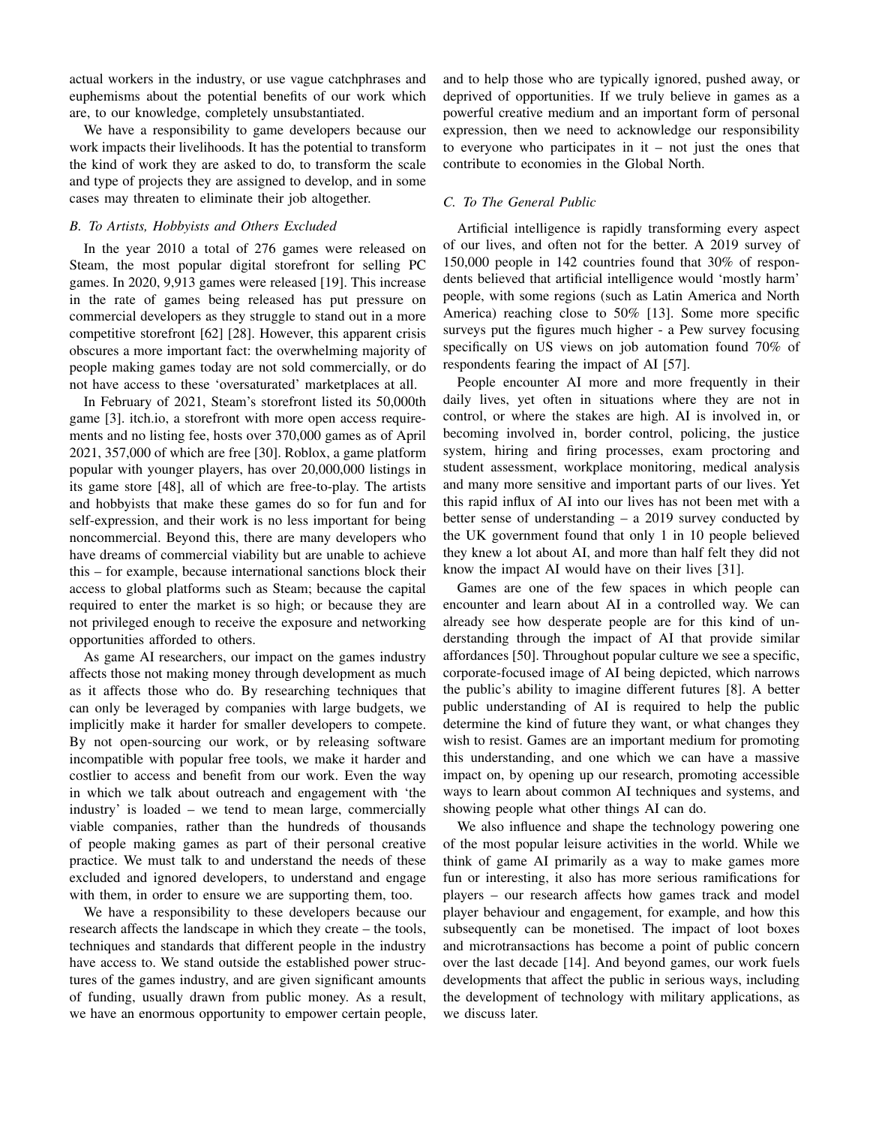actual workers in the industry, or use vague catchphrases and euphemisms about the potential benefits of our work which are, to our knowledge, completely unsubstantiated.

We have a responsibility to game developers because our work impacts their livelihoods. It has the potential to transform the kind of work they are asked to do, to transform the scale and type of projects they are assigned to develop, and in some cases may threaten to eliminate their job altogether.

# *B. To Artists, Hobbyists and Others Excluded*

In the year 2010 a total of 276 games were released on Steam, the most popular digital storefront for selling PC games. In 2020, 9,913 games were released [19]. This increase in the rate of games being released has put pressure on commercial developers as they struggle to stand out in a more competitive storefront [62] [28]. However, this apparent crisis obscures a more important fact: the overwhelming majority of people making games today are not sold commercially, or do not have access to these 'oversaturated' marketplaces at all.

In February of 2021, Steam's storefront listed its 50,000th game [3]. itch.io, a storefront with more open access requirements and no listing fee, hosts over 370,000 games as of April 2021, 357,000 of which are free [30]. Roblox, a game platform popular with younger players, has over 20,000,000 listings in its game store [48], all of which are free-to-play. The artists and hobbyists that make these games do so for fun and for self-expression, and their work is no less important for being noncommercial. Beyond this, there are many developers who have dreams of commercial viability but are unable to achieve this – for example, because international sanctions block their access to global platforms such as Steam; because the capital required to enter the market is so high; or because they are not privileged enough to receive the exposure and networking opportunities afforded to others.

As game AI researchers, our impact on the games industry affects those not making money through development as much as it affects those who do. By researching techniques that can only be leveraged by companies with large budgets, we implicitly make it harder for smaller developers to compete. By not open-sourcing our work, or by releasing software incompatible with popular free tools, we make it harder and costlier to access and benefit from our work. Even the way in which we talk about outreach and engagement with 'the industry' is loaded – we tend to mean large, commercially viable companies, rather than the hundreds of thousands of people making games as part of their personal creative practice. We must talk to and understand the needs of these excluded and ignored developers, to understand and engage with them, in order to ensure we are supporting them, too.

We have a responsibility to these developers because our research affects the landscape in which they create – the tools, techniques and standards that different people in the industry have access to. We stand outside the established power structures of the games industry, and are given significant amounts of funding, usually drawn from public money. As a result, we have an enormous opportunity to empower certain people, and to help those who are typically ignored, pushed away, or deprived of opportunities. If we truly believe in games as a powerful creative medium and an important form of personal expression, then we need to acknowledge our responsibility to everyone who participates in  $it - not$  just the ones that contribute to economies in the Global North.

## *C. To The General Public*

Artificial intelligence is rapidly transforming every aspect of our lives, and often not for the better. A 2019 survey of 150,000 people in 142 countries found that 30% of respondents believed that artificial intelligence would 'mostly harm' people, with some regions (such as Latin America and North America) reaching close to 50% [13]. Some more specific surveys put the figures much higher - a Pew survey focusing specifically on US views on job automation found 70% of respondents fearing the impact of AI [57].

People encounter AI more and more frequently in their daily lives, yet often in situations where they are not in control, or where the stakes are high. AI is involved in, or becoming involved in, border control, policing, the justice system, hiring and firing processes, exam proctoring and student assessment, workplace monitoring, medical analysis and many more sensitive and important parts of our lives. Yet this rapid influx of AI into our lives has not been met with a better sense of understanding – a 2019 survey conducted by the UK government found that only 1 in 10 people believed they knew a lot about AI, and more than half felt they did not know the impact AI would have on their lives [31].

Games are one of the few spaces in which people can encounter and learn about AI in a controlled way. We can already see how desperate people are for this kind of understanding through the impact of AI that provide similar affordances [50]. Throughout popular culture we see a specific, corporate-focused image of AI being depicted, which narrows the public's ability to imagine different futures [8]. A better public understanding of AI is required to help the public determine the kind of future they want, or what changes they wish to resist. Games are an important medium for promoting this understanding, and one which we can have a massive impact on, by opening up our research, promoting accessible ways to learn about common AI techniques and systems, and showing people what other things AI can do.

We also influence and shape the technology powering one of the most popular leisure activities in the world. While we think of game AI primarily as a way to make games more fun or interesting, it also has more serious ramifications for players – our research affects how games track and model player behaviour and engagement, for example, and how this subsequently can be monetised. The impact of loot boxes and microtransactions has become a point of public concern over the last decade [14]. And beyond games, our work fuels developments that affect the public in serious ways, including the development of technology with military applications, as we discuss later.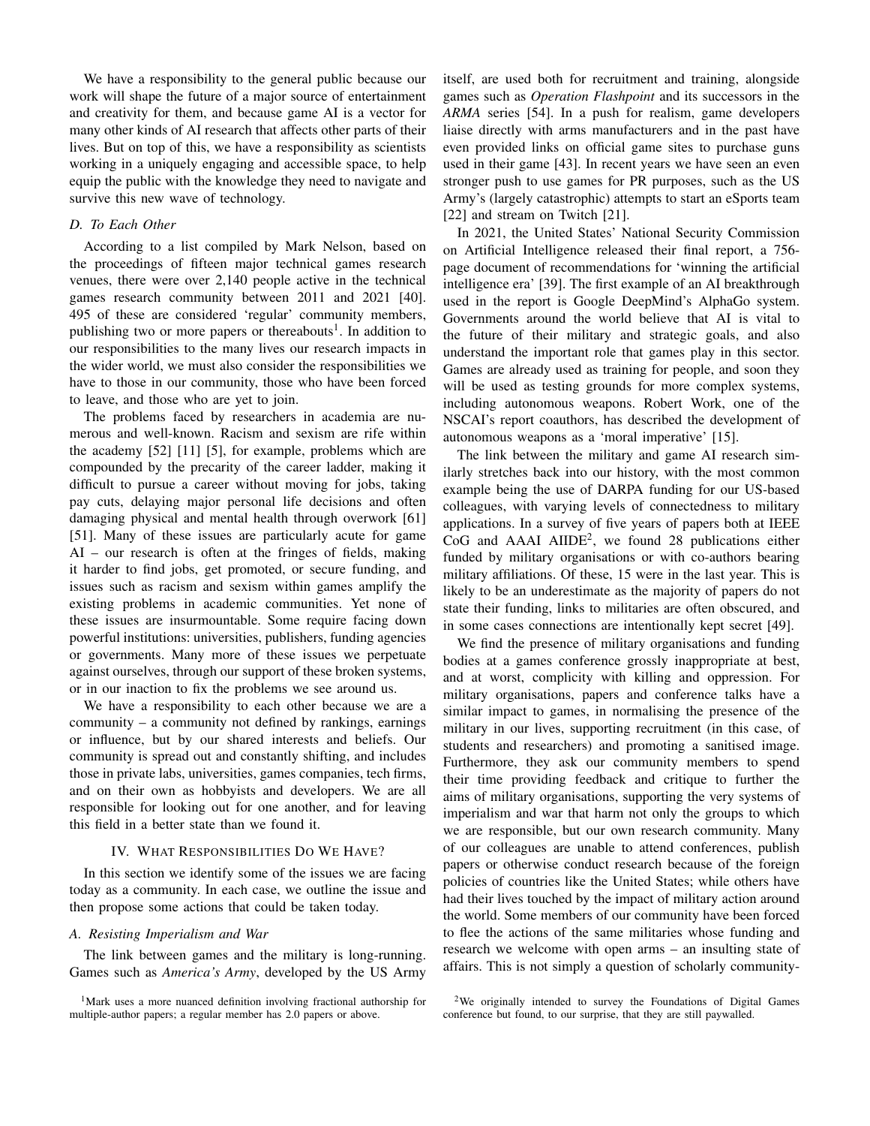We have a responsibility to the general public because our work will shape the future of a major source of entertainment and creativity for them, and because game AI is a vector for many other kinds of AI research that affects other parts of their lives. But on top of this, we have a responsibility as scientists working in a uniquely engaging and accessible space, to help equip the public with the knowledge they need to navigate and survive this new wave of technology.

# *D. To Each Other*

According to a list compiled by Mark Nelson, based on the proceedings of fifteen major technical games research venues, there were over 2,140 people active in the technical games research community between 2011 and 2021 [40]. 495 of these are considered 'regular' community members, publishing two or more papers or thereabouts<sup>1</sup>. In addition to our responsibilities to the many lives our research impacts in the wider world, we must also consider the responsibilities we have to those in our community, those who have been forced to leave, and those who are yet to join.

The problems faced by researchers in academia are numerous and well-known. Racism and sexism are rife within the academy [52] [11] [5], for example, problems which are compounded by the precarity of the career ladder, making it difficult to pursue a career without moving for jobs, taking pay cuts, delaying major personal life decisions and often damaging physical and mental health through overwork [61] [51]. Many of these issues are particularly acute for game AI – our research is often at the fringes of fields, making it harder to find jobs, get promoted, or secure funding, and issues such as racism and sexism within games amplify the existing problems in academic communities. Yet none of these issues are insurmountable. Some require facing down powerful institutions: universities, publishers, funding agencies or governments. Many more of these issues we perpetuate against ourselves, through our support of these broken systems, or in our inaction to fix the problems we see around us.

We have a responsibility to each other because we are a community – a community not defined by rankings, earnings or influence, but by our shared interests and beliefs. Our community is spread out and constantly shifting, and includes those in private labs, universities, games companies, tech firms, and on their own as hobbyists and developers. We are all responsible for looking out for one another, and for leaving this field in a better state than we found it.

#### IV. WHAT RESPONSIBILITIES DO WE HAVE?

In this section we identify some of the issues we are facing today as a community. In each case, we outline the issue and then propose some actions that could be taken today.

#### *A. Resisting Imperialism and War*

The link between games and the military is long-running. Games such as *America's Army*, developed by the US Army

itself, are used both for recruitment and training, alongside games such as *Operation Flashpoint* and its successors in the *ARMA* series [54]. In a push for realism, game developers liaise directly with arms manufacturers and in the past have even provided links on official game sites to purchase guns used in their game [43]. In recent years we have seen an even stronger push to use games for PR purposes, such as the US Army's (largely catastrophic) attempts to start an eSports team [22] and stream on Twitch [21].

In 2021, the United States' National Security Commission on Artificial Intelligence released their final report, a 756 page document of recommendations for 'winning the artificial intelligence era' [39]. The first example of an AI breakthrough used in the report is Google DeepMind's AlphaGo system. Governments around the world believe that AI is vital to the future of their military and strategic goals, and also understand the important role that games play in this sector. Games are already used as training for people, and soon they will be used as testing grounds for more complex systems, including autonomous weapons. Robert Work, one of the NSCAI's report coauthors, has described the development of autonomous weapons as a 'moral imperative' [15].

The link between the military and game AI research similarly stretches back into our history, with the most common example being the use of DARPA funding for our US-based colleagues, with varying levels of connectedness to military applications. In a survey of five years of papers both at IEEE CoG and AAAI AIIDE<sup>2</sup>, we found 28 publications either funded by military organisations or with co-authors bearing military affiliations. Of these, 15 were in the last year. This is likely to be an underestimate as the majority of papers do not state their funding, links to militaries are often obscured, and in some cases connections are intentionally kept secret [49].

We find the presence of military organisations and funding bodies at a games conference grossly inappropriate at best, and at worst, complicity with killing and oppression. For military organisations, papers and conference talks have a similar impact to games, in normalising the presence of the military in our lives, supporting recruitment (in this case, of students and researchers) and promoting a sanitised image. Furthermore, they ask our community members to spend their time providing feedback and critique to further the aims of military organisations, supporting the very systems of imperialism and war that harm not only the groups to which we are responsible, but our own research community. Many of our colleagues are unable to attend conferences, publish papers or otherwise conduct research because of the foreign policies of countries like the United States; while others have had their lives touched by the impact of military action around the world. Some members of our community have been forced to flee the actions of the same militaries whose funding and research we welcome with open arms – an insulting state of affairs. This is not simply a question of scholarly community-

<sup>1</sup>Mark uses a more nuanced definition involving fractional authorship for multiple-author papers; a regular member has 2.0 papers or above.

<sup>2</sup>We originally intended to survey the Foundations of Digital Games conference but found, to our surprise, that they are still paywalled.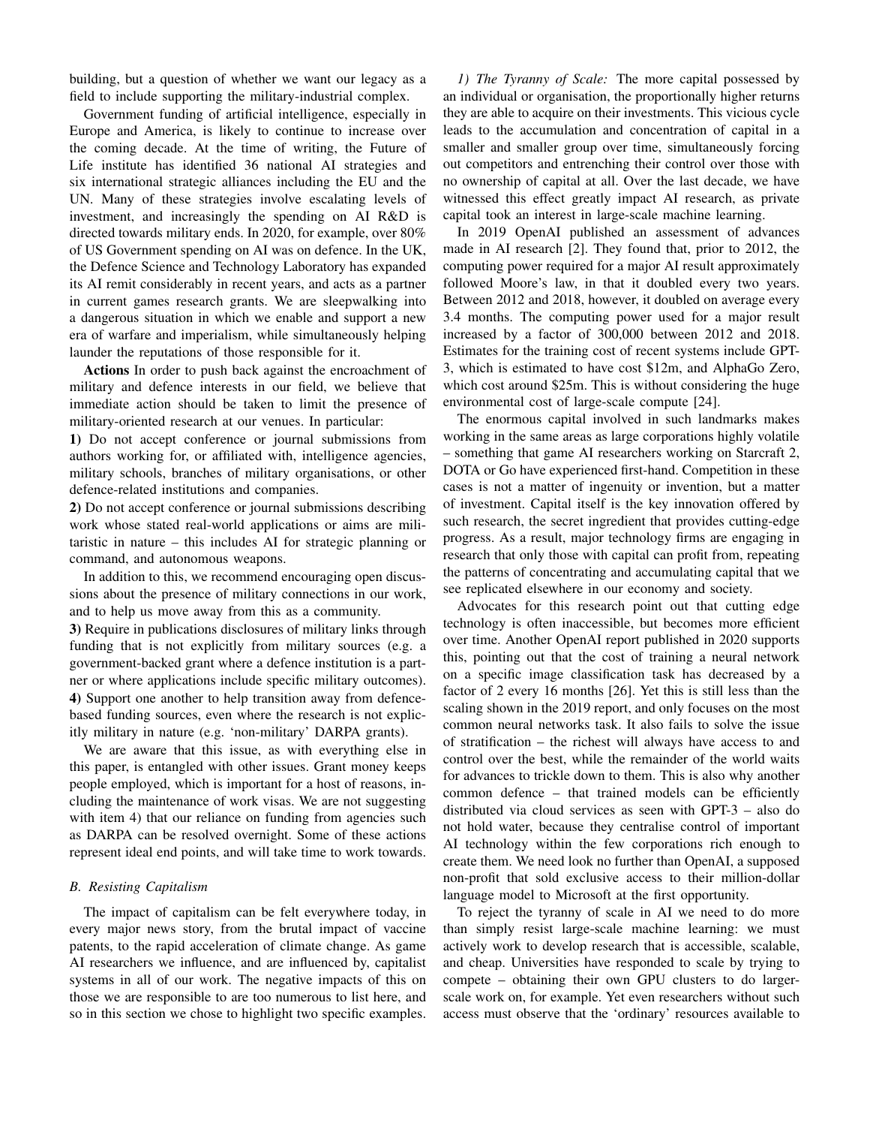building, but a question of whether we want our legacy as a field to include supporting the military-industrial complex.

Government funding of artificial intelligence, especially in Europe and America, is likely to continue to increase over the coming decade. At the time of writing, the Future of Life institute has identified 36 national AI strategies and six international strategic alliances including the EU and the UN. Many of these strategies involve escalating levels of investment, and increasingly the spending on AI R&D is directed towards military ends. In 2020, for example, over 80% of US Government spending on AI was on defence. In the UK, the Defence Science and Technology Laboratory has expanded its AI remit considerably in recent years, and acts as a partner in current games research grants. We are sleepwalking into a dangerous situation in which we enable and support a new era of warfare and imperialism, while simultaneously helping launder the reputations of those responsible for it.

Actions In order to push back against the encroachment of military and defence interests in our field, we believe that immediate action should be taken to limit the presence of military-oriented research at our venues. In particular:

1) Do not accept conference or journal submissions from authors working for, or affiliated with, intelligence agencies, military schools, branches of military organisations, or other defence-related institutions and companies.

2) Do not accept conference or journal submissions describing work whose stated real-world applications or aims are militaristic in nature – this includes AI for strategic planning or command, and autonomous weapons.

In addition to this, we recommend encouraging open discussions about the presence of military connections in our work, and to help us move away from this as a community.

3) Require in publications disclosures of military links through funding that is not explicitly from military sources (e.g. a government-backed grant where a defence institution is a partner or where applications include specific military outcomes). 4) Support one another to help transition away from defencebased funding sources, even where the research is not explicitly military in nature (e.g. 'non-military' DARPA grants).

We are aware that this issue, as with everything else in this paper, is entangled with other issues. Grant money keeps people employed, which is important for a host of reasons, including the maintenance of work visas. We are not suggesting with item 4) that our reliance on funding from agencies such as DARPA can be resolved overnight. Some of these actions represent ideal end points, and will take time to work towards.

# *B. Resisting Capitalism*

The impact of capitalism can be felt everywhere today, in every major news story, from the brutal impact of vaccine patents, to the rapid acceleration of climate change. As game AI researchers we influence, and are influenced by, capitalist systems in all of our work. The negative impacts of this on those we are responsible to are too numerous to list here, and so in this section we chose to highlight two specific examples.

*1) The Tyranny of Scale:* The more capital possessed by an individual or organisation, the proportionally higher returns they are able to acquire on their investments. This vicious cycle leads to the accumulation and concentration of capital in a smaller and smaller group over time, simultaneously forcing out competitors and entrenching their control over those with no ownership of capital at all. Over the last decade, we have witnessed this effect greatly impact AI research, as private capital took an interest in large-scale machine learning.

In 2019 OpenAI published an assessment of advances made in AI research [2]. They found that, prior to 2012, the computing power required for a major AI result approximately followed Moore's law, in that it doubled every two years. Between 2012 and 2018, however, it doubled on average every 3.4 months. The computing power used for a major result increased by a factor of 300,000 between 2012 and 2018. Estimates for the training cost of recent systems include GPT-3, which is estimated to have cost \$12m, and AlphaGo Zero, which cost around \$25m. This is without considering the huge environmental cost of large-scale compute [24].

The enormous capital involved in such landmarks makes working in the same areas as large corporations highly volatile – something that game AI researchers working on Starcraft 2, DOTA or Go have experienced first-hand. Competition in these cases is not a matter of ingenuity or invention, but a matter of investment. Capital itself is the key innovation offered by such research, the secret ingredient that provides cutting-edge progress. As a result, major technology firms are engaging in research that only those with capital can profit from, repeating the patterns of concentrating and accumulating capital that we see replicated elsewhere in our economy and society.

Advocates for this research point out that cutting edge technology is often inaccessible, but becomes more efficient over time. Another OpenAI report published in 2020 supports this, pointing out that the cost of training a neural network on a specific image classification task has decreased by a factor of 2 every 16 months [26]. Yet this is still less than the scaling shown in the 2019 report, and only focuses on the most common neural networks task. It also fails to solve the issue of stratification – the richest will always have access to and control over the best, while the remainder of the world waits for advances to trickle down to them. This is also why another common defence – that trained models can be efficiently distributed via cloud services as seen with GPT-3 – also do not hold water, because they centralise control of important AI technology within the few corporations rich enough to create them. We need look no further than OpenAI, a supposed non-profit that sold exclusive access to their million-dollar language model to Microsoft at the first opportunity.

To reject the tyranny of scale in AI we need to do more than simply resist large-scale machine learning: we must actively work to develop research that is accessible, scalable, and cheap. Universities have responded to scale by trying to compete – obtaining their own GPU clusters to do largerscale work on, for example. Yet even researchers without such access must observe that the 'ordinary' resources available to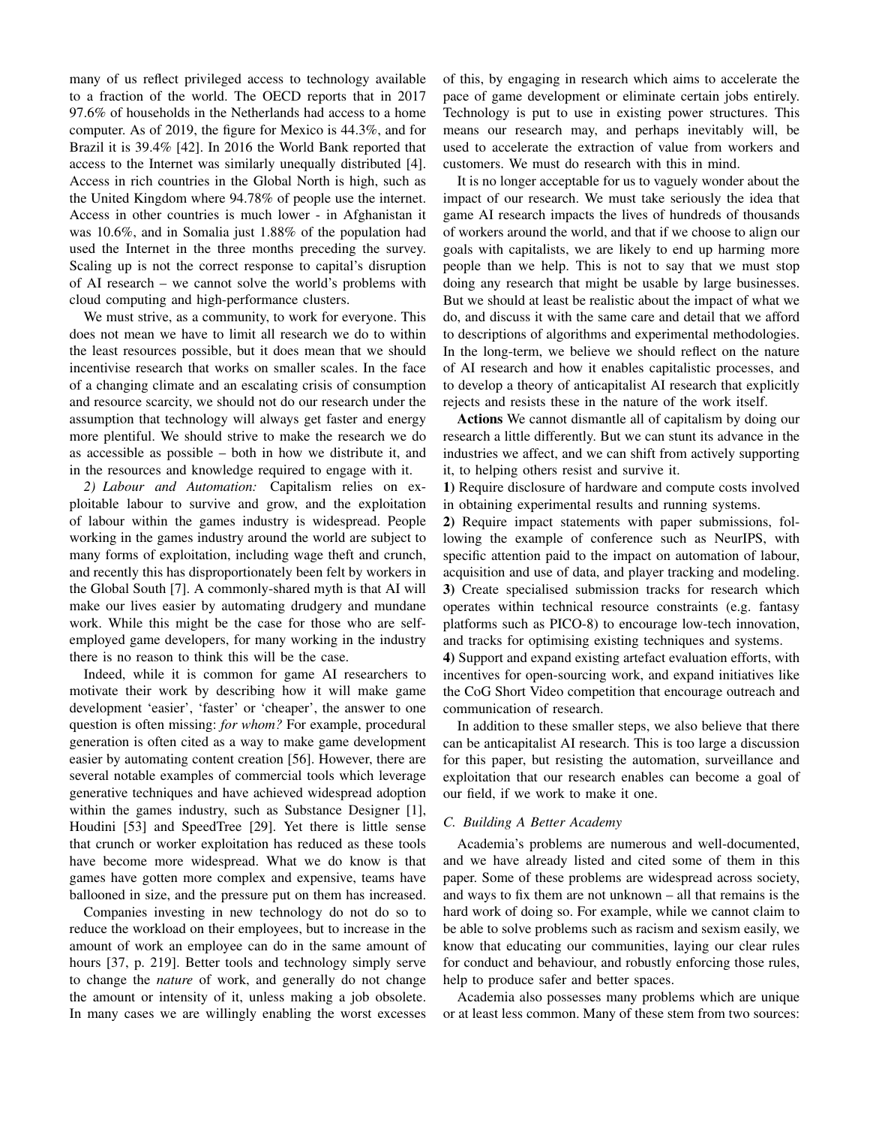many of us reflect privileged access to technology available to a fraction of the world. The OECD reports that in 2017 97.6% of households in the Netherlands had access to a home computer. As of 2019, the figure for Mexico is 44.3%, and for Brazil it is 39.4% [42]. In 2016 the World Bank reported that access to the Internet was similarly unequally distributed [4]. Access in rich countries in the Global North is high, such as the United Kingdom where 94.78% of people use the internet. Access in other countries is much lower - in Afghanistan it was 10.6%, and in Somalia just 1.88% of the population had used the Internet in the three months preceding the survey. Scaling up is not the correct response to capital's disruption of AI research – we cannot solve the world's problems with cloud computing and high-performance clusters.

We must strive, as a community, to work for everyone. This does not mean we have to limit all research we do to within the least resources possible, but it does mean that we should incentivise research that works on smaller scales. In the face of a changing climate and an escalating crisis of consumption and resource scarcity, we should not do our research under the assumption that technology will always get faster and energy more plentiful. We should strive to make the research we do as accessible as possible – both in how we distribute it, and in the resources and knowledge required to engage with it.

*2) Labour and Automation:* Capitalism relies on exploitable labour to survive and grow, and the exploitation of labour within the games industry is widespread. People working in the games industry around the world are subject to many forms of exploitation, including wage theft and crunch, and recently this has disproportionately been felt by workers in the Global South [7]. A commonly-shared myth is that AI will make our lives easier by automating drudgery and mundane work. While this might be the case for those who are selfemployed game developers, for many working in the industry there is no reason to think this will be the case.

Indeed, while it is common for game AI researchers to motivate their work by describing how it will make game development 'easier', 'faster' or 'cheaper', the answer to one question is often missing: *for whom?* For example, procedural generation is often cited as a way to make game development easier by automating content creation [56]. However, there are several notable examples of commercial tools which leverage generative techniques and have achieved widespread adoption within the games industry, such as Substance Designer [1], Houdini [53] and SpeedTree [29]. Yet there is little sense that crunch or worker exploitation has reduced as these tools have become more widespread. What we do know is that games have gotten more complex and expensive, teams have ballooned in size, and the pressure put on them has increased.

Companies investing in new technology do not do so to reduce the workload on their employees, but to increase in the amount of work an employee can do in the same amount of hours [37, p. 219]. Better tools and technology simply serve to change the *nature* of work, and generally do not change the amount or intensity of it, unless making a job obsolete. In many cases we are willingly enabling the worst excesses

of this, by engaging in research which aims to accelerate the pace of game development or eliminate certain jobs entirely. Technology is put to use in existing power structures. This means our research may, and perhaps inevitably will, be used to accelerate the extraction of value from workers and customers. We must do research with this in mind.

It is no longer acceptable for us to vaguely wonder about the impact of our research. We must take seriously the idea that game AI research impacts the lives of hundreds of thousands of workers around the world, and that if we choose to align our goals with capitalists, we are likely to end up harming more people than we help. This is not to say that we must stop doing any research that might be usable by large businesses. But we should at least be realistic about the impact of what we do, and discuss it with the same care and detail that we afford to descriptions of algorithms and experimental methodologies. In the long-term, we believe we should reflect on the nature of AI research and how it enables capitalistic processes, and to develop a theory of anticapitalist AI research that explicitly rejects and resists these in the nature of the work itself.

Actions We cannot dismantle all of capitalism by doing our research a little differently. But we can stunt its advance in the industries we affect, and we can shift from actively supporting it, to helping others resist and survive it.

1) Require disclosure of hardware and compute costs involved in obtaining experimental results and running systems.

2) Require impact statements with paper submissions, following the example of conference such as NeurIPS, with specific attention paid to the impact on automation of labour, acquisition and use of data, and player tracking and modeling. 3) Create specialised submission tracks for research which operates within technical resource constraints (e.g. fantasy platforms such as PICO-8) to encourage low-tech innovation, and tracks for optimising existing techniques and systems.

4) Support and expand existing artefact evaluation efforts, with incentives for open-sourcing work, and expand initiatives like the CoG Short Video competition that encourage outreach and communication of research.

In addition to these smaller steps, we also believe that there can be anticapitalist AI research. This is too large a discussion for this paper, but resisting the automation, surveillance and exploitation that our research enables can become a goal of our field, if we work to make it one.

# *C. Building A Better Academy*

Academia's problems are numerous and well-documented, and we have already listed and cited some of them in this paper. Some of these problems are widespread across society, and ways to fix them are not unknown – all that remains is the hard work of doing so. For example, while we cannot claim to be able to solve problems such as racism and sexism easily, we know that educating our communities, laying our clear rules for conduct and behaviour, and robustly enforcing those rules, help to produce safer and better spaces.

Academia also possesses many problems which are unique or at least less common. Many of these stem from two sources: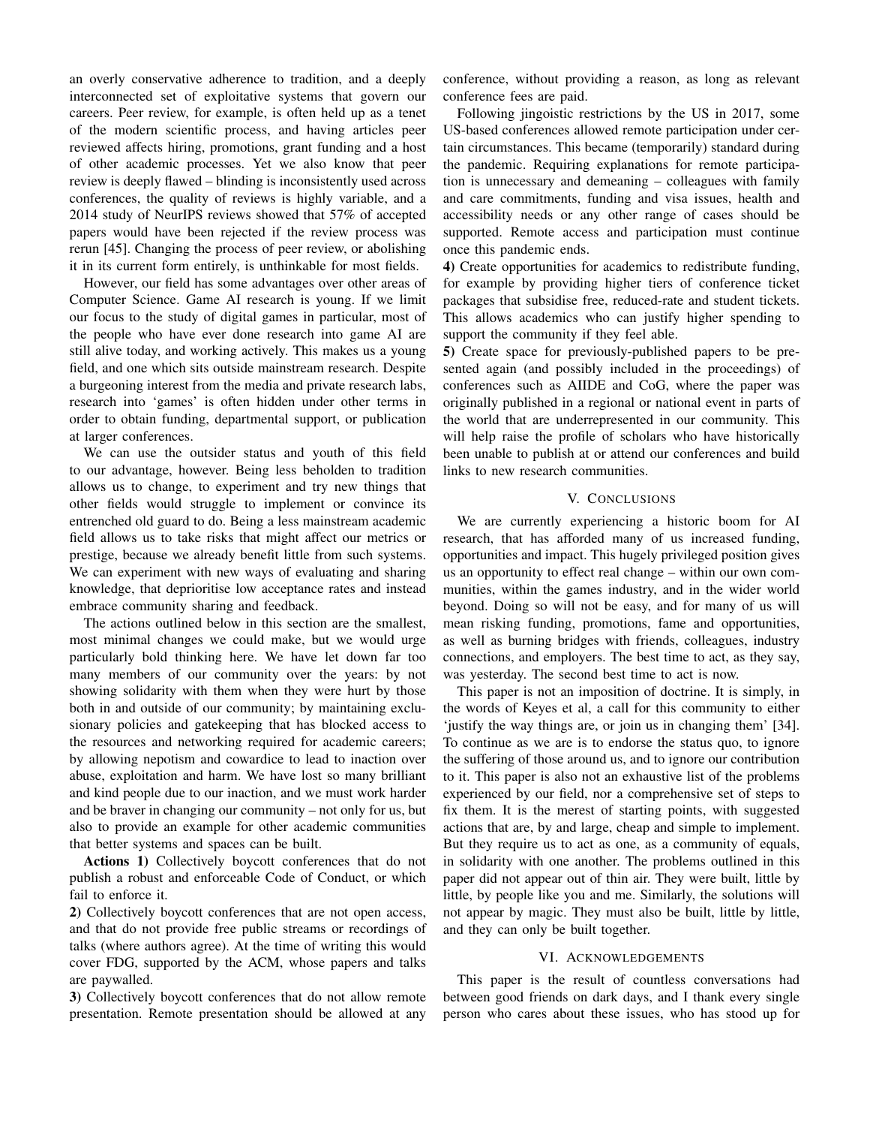an overly conservative adherence to tradition, and a deeply interconnected set of exploitative systems that govern our careers. Peer review, for example, is often held up as a tenet of the modern scientific process, and having articles peer reviewed affects hiring, promotions, grant funding and a host of other academic processes. Yet we also know that peer review is deeply flawed – blinding is inconsistently used across conferences, the quality of reviews is highly variable, and a 2014 study of NeurIPS reviews showed that 57% of accepted papers would have been rejected if the review process was rerun [45]. Changing the process of peer review, or abolishing it in its current form entirely, is unthinkable for most fields.

However, our field has some advantages over other areas of Computer Science. Game AI research is young. If we limit our focus to the study of digital games in particular, most of the people who have ever done research into game AI are still alive today, and working actively. This makes us a young field, and one which sits outside mainstream research. Despite a burgeoning interest from the media and private research labs, research into 'games' is often hidden under other terms in order to obtain funding, departmental support, or publication at larger conferences.

We can use the outsider status and youth of this field to our advantage, however. Being less beholden to tradition allows us to change, to experiment and try new things that other fields would struggle to implement or convince its entrenched old guard to do. Being a less mainstream academic field allows us to take risks that might affect our metrics or prestige, because we already benefit little from such systems. We can experiment with new ways of evaluating and sharing knowledge, that deprioritise low acceptance rates and instead embrace community sharing and feedback.

The actions outlined below in this section are the smallest, most minimal changes we could make, but we would urge particularly bold thinking here. We have let down far too many members of our community over the years: by not showing solidarity with them when they were hurt by those both in and outside of our community; by maintaining exclusionary policies and gatekeeping that has blocked access to the resources and networking required for academic careers; by allowing nepotism and cowardice to lead to inaction over abuse, exploitation and harm. We have lost so many brilliant and kind people due to our inaction, and we must work harder and be braver in changing our community – not only for us, but also to provide an example for other academic communities that better systems and spaces can be built.

Actions 1) Collectively boycott conferences that do not publish a robust and enforceable Code of Conduct, or which fail to enforce it.

2) Collectively boycott conferences that are not open access, and that do not provide free public streams or recordings of talks (where authors agree). At the time of writing this would cover FDG, supported by the ACM, whose papers and talks are paywalled.

3) Collectively boycott conferences that do not allow remote presentation. Remote presentation should be allowed at any conference, without providing a reason, as long as relevant conference fees are paid.

Following jingoistic restrictions by the US in 2017, some US-based conferences allowed remote participation under certain circumstances. This became (temporarily) standard during the pandemic. Requiring explanations for remote participation is unnecessary and demeaning – colleagues with family and care commitments, funding and visa issues, health and accessibility needs or any other range of cases should be supported. Remote access and participation must continue once this pandemic ends.

4) Create opportunities for academics to redistribute funding, for example by providing higher tiers of conference ticket packages that subsidise free, reduced-rate and student tickets. This allows academics who can justify higher spending to support the community if they feel able.

5) Create space for previously-published papers to be presented again (and possibly included in the proceedings) of conferences such as AIIDE and CoG, where the paper was originally published in a regional or national event in parts of the world that are underrepresented in our community. This will help raise the profile of scholars who have historically been unable to publish at or attend our conferences and build links to new research communities.

# V. CONCLUSIONS

We are currently experiencing a historic boom for AI research, that has afforded many of us increased funding, opportunities and impact. This hugely privileged position gives us an opportunity to effect real change – within our own communities, within the games industry, and in the wider world beyond. Doing so will not be easy, and for many of us will mean risking funding, promotions, fame and opportunities, as well as burning bridges with friends, colleagues, industry connections, and employers. The best time to act, as they say, was yesterday. The second best time to act is now.

This paper is not an imposition of doctrine. It is simply, in the words of Keyes et al, a call for this community to either 'justify the way things are, or join us in changing them' [34]. To continue as we are is to endorse the status quo, to ignore the suffering of those around us, and to ignore our contribution to it. This paper is also not an exhaustive list of the problems experienced by our field, nor a comprehensive set of steps to fix them. It is the merest of starting points, with suggested actions that are, by and large, cheap and simple to implement. But they require us to act as one, as a community of equals, in solidarity with one another. The problems outlined in this paper did not appear out of thin air. They were built, little by little, by people like you and me. Similarly, the solutions will not appear by magic. They must also be built, little by little, and they can only be built together.

#### VI. ACKNOWLEDGEMENTS

This paper is the result of countless conversations had between good friends on dark days, and I thank every single person who cares about these issues, who has stood up for